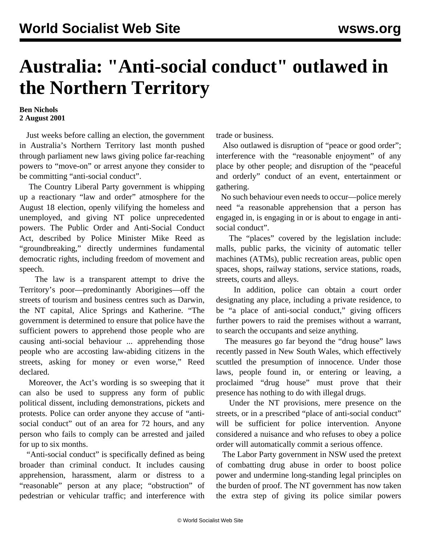## **Australia: "Anti-social conduct" outlawed in the Northern Territory**

## **Ben Nichols 2 August 2001**

 Just weeks before calling an election, the government in Australia's Northern Territory last month pushed through parliament new laws giving police far-reaching powers to "move-on" or arrest anyone they consider to be committing "anti-social conduct".

 The Country Liberal Party government is whipping up a reactionary "law and order" atmosphere for the August 18 election, openly vilifying the homeless and unemployed, and giving NT police unprecedented powers. The Public Order and Anti-Social Conduct Act, described by Police Minister Mike Reed as "groundbreaking," directly undermines fundamental democratic rights, including freedom of movement and speech.

 The law is a transparent attempt to drive the Territory's poor—predominantly Aborigines—off the streets of tourism and business centres such as Darwin, the NT capital, Alice Springs and Katherine. "The government is determined to ensure that police have the sufficient powers to apprehend those people who are causing anti-social behaviour ... apprehending those people who are accosting law-abiding citizens in the streets, asking for money or even worse," Reed declared.

 Moreover, the Act's wording is so sweeping that it can also be used to suppress any form of public political dissent, including demonstrations, pickets and protests. Police can order anyone they accuse of "antisocial conduct" out of an area for 72 hours, and any person who fails to comply can be arrested and jailed for up to six months.

 "Anti-social conduct" is specifically defined as being broader than criminal conduct. It includes causing apprehension, harassment, alarm or distress to a "reasonable" person at any place; "obstruction" of pedestrian or vehicular traffic; and interference with trade or business.

Also outlawed is disruption of "peace or good order"; interference with the "reasonable enjoyment" of any place by other people; and disruption of the "peaceful and orderly" conduct of an event, entertainment or gathering.

 No such behaviour even needs to occur—police merely need "a reasonable apprehension that a person has engaged in, is engaging in or is about to engage in antisocial conduct".

 The "places" covered by the legislation include: malls, public parks, the vicinity of automatic teller machines (ATMs), public recreation areas, public open spaces, shops, railway stations, service stations, roads, streets, courts and alleys.

 In addition, police can obtain a court order designating any place, including a private residence, to be "a place of anti-social conduct," giving officers further powers to raid the premises without a warrant, to search the occupants and seize anything.

 The measures go far beyond the "drug house" laws recently passed in New South Wales, which effectively scuttled the presumption of innocence. Under those laws, people found in, or entering or leaving, a proclaimed "drug house" must prove that their presence has nothing to do with illegal drugs.

 Under the NT provisions, mere presence on the streets, or in a prescribed "place of anti-social conduct" will be sufficient for police intervention. Anyone considered a nuisance and who refuses to obey a police order will automatically commit a serious offence.

 The Labor Party government in NSW used the pretext of combatting drug abuse in order to boost police power and undermine long-standing legal principles on the burden of proof. The NT government has now taken the extra step of giving its police similar powers